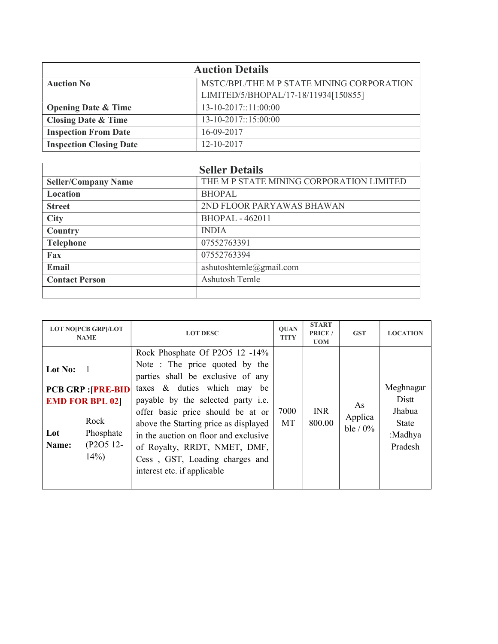| <b>Auction Details</b>         |                                           |  |  |  |
|--------------------------------|-------------------------------------------|--|--|--|
| <b>Auction No</b>              | MSTC/BPL/THE M P STATE MINING CORPORATION |  |  |  |
|                                | LIMITED/5/BHOPAL/17-18/11934[150855]      |  |  |  |
| <b>Opening Date &amp; Time</b> | $13-10-2017::11:00:00$                    |  |  |  |
| <b>Closing Date &amp; Time</b> | 13-10-2017::15:00:00                      |  |  |  |
| <b>Inspection From Date</b>    | 16-09-2017                                |  |  |  |
| <b>Inspection Closing Date</b> | 12-10-2017                                |  |  |  |

| <b>Seller Details</b>      |                                          |  |  |  |
|----------------------------|------------------------------------------|--|--|--|
| <b>Seller/Company Name</b> | THE M P STATE MINING CORPORATION LIMITED |  |  |  |
| Location                   | <b>BHOPAL</b>                            |  |  |  |
| <b>Street</b>              | 2ND FLOOR PARYAWAS BHAWAN                |  |  |  |
| <b>City</b>                | <b>BHOPAL - 462011</b>                   |  |  |  |
| Country                    | <b>INDIA</b>                             |  |  |  |
| <b>Telephone</b>           | 07552763391                              |  |  |  |
| Fax                        | 07552763394                              |  |  |  |
| Email                      | ashutoshtemle@gmail.com                  |  |  |  |
| <b>Contact Person</b>      | Ashutosh Temle                           |  |  |  |
|                            |                                          |  |  |  |

| <b>LOT NO[PCB GRP]/LOT</b><br><b>NAME</b>                                                                                                      | <b>LOT DESC</b>                                                                                                                                                                                                                                                                                                                                                                                   | <b>OUAN</b><br><b>TITY</b> | <b>START</b><br>PRICE /<br><b>UOM</b> | <b>GST</b>                | <b>LOCATION</b>                                                    |
|------------------------------------------------------------------------------------------------------------------------------------------------|---------------------------------------------------------------------------------------------------------------------------------------------------------------------------------------------------------------------------------------------------------------------------------------------------------------------------------------------------------------------------------------------------|----------------------------|---------------------------------------|---------------------------|--------------------------------------------------------------------|
| Lot No:<br>$\overline{1}$<br><b>PCB GRP : [PRE-BID]</b><br><b>EMD FOR BPL 021</b><br>Rock<br>Phosphate<br>Lot<br>(P2O5 12-<br>Name:<br>$14\%)$ | Rock Phosphate Of P2O5 12 -14%<br>Note: The price quoted by the<br>parties shall be exclusive of any<br>taxes & duties which may be<br>payable by the selected party i.e.<br>offer basic price should be at or<br>above the Starting price as displayed<br>in the auction on floor and exclusive<br>of Royalty, RRDT, NMET, DMF,<br>Cess, GST, Loading charges and<br>interest etc. if applicable | 7000<br><b>MT</b>          | <b>INR</b><br>800.00                  | As<br>Applica<br>ble / 0% | Meghnagar<br>Distt<br>Jhabua<br><b>State</b><br>:Madhya<br>Pradesh |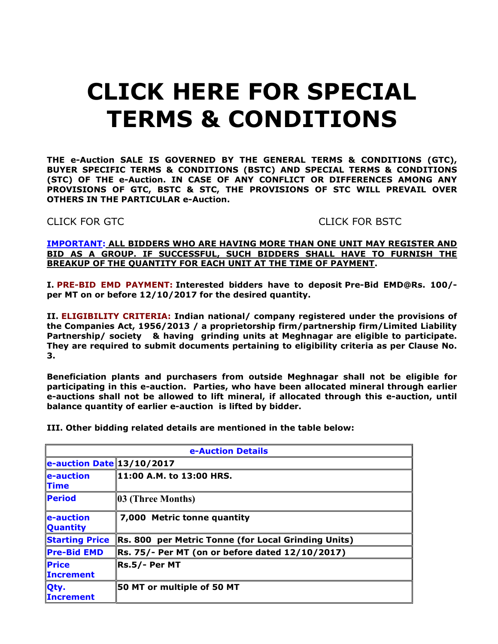# CLICK HERE FOR SPECIAL TERMS & CONDITIONS

THE e-Auction SALE IS GOVERNED BY THE GENERAL TERMS & CONDITIONS (GTC), BUYER SPECIFIC TERMS & CONDITIONS (BSTC) AND SPECIAL TERMS & CONDITIONS (STC) OF THE e-Auction. IN CASE OF ANY CONFLICT OR DIFFERENCES AMONG ANY PROVISIONS OF GTC, BSTC & STC, THE PROVISIONS OF STC WILL PREVAIL OVER OTHERS IN THE PARTICULAR e-Auction.

CLICK FOR GTC CLICK FOR BSTC

IMPORTANT: ALL BIDDERS WHO ARE HAVING MORE THAN ONE UNIT MAY REGISTER AND BID AS A GROUP. IF SUCCESSFUL, SUCH BIDDERS SHALL HAVE TO FURNISH THE BREAKUP OF THE QUANTITY FOR EACH UNIT AT THE TIME OF PAYMENT.

I. PRE-BID EMD PAYMENT: Interested bidders have to deposit Pre-Bid EMD@Rs. 100/ per MT on or before 12/10/2017 for the desired quantity.

II. ELIGIBILITY CRITERIA: Indian national/ company registered under the provisions of the Companies Act, 1956/2013 / a proprietorship firm/partnership firm/Limited Liability Partnership/ society & having grinding units at Meghnagar are eligible to participate. They are required to submit documents pertaining to eligibility criteria as per Clause No. 3.

Beneficiation plants and purchasers from outside Meghnagar shall not be eligible for participating in this e-auction. Parties, who have been allocated mineral through earlier e-auctions shall not be allowed to lift mineral, if allocated through this e-auction, until balance quantity of earlier e-auction is lifted by bidder.

III. Other bidding related details are mentioned in the table below:

| <b>e-Auction Details</b>                                       |                                                     |  |
|----------------------------------------------------------------|-----------------------------------------------------|--|
| $\left  \frac{1}{2}$ e-auction Date 13/10/2017                 |                                                     |  |
| $\ $ e-auction<br><b>Time</b>                                  | 11:00 A.M. to 13:00 HRS.                            |  |
| <b>Period</b>                                                  | 03 (Three Months)                                   |  |
| $\left\  \mathbf{e}\text{-auction}\right\ $<br><b>Quantity</b> | 7,000 Metric tonne quantity                         |  |
| <b>Starting Price</b>                                          | Rs. 800 per Metric Tonne (for Local Grinding Units) |  |
| <b>Pre-Bid EMD</b>                                             | Rs. 75/- Per MT (on or before dated 12/10/2017)     |  |
| $ $ Price<br><b>Increment</b>                                  | Rs.5/- Per MT                                       |  |
| Qty.<br><b>Increment</b>                                       | 50 MT or multiple of 50 MT                          |  |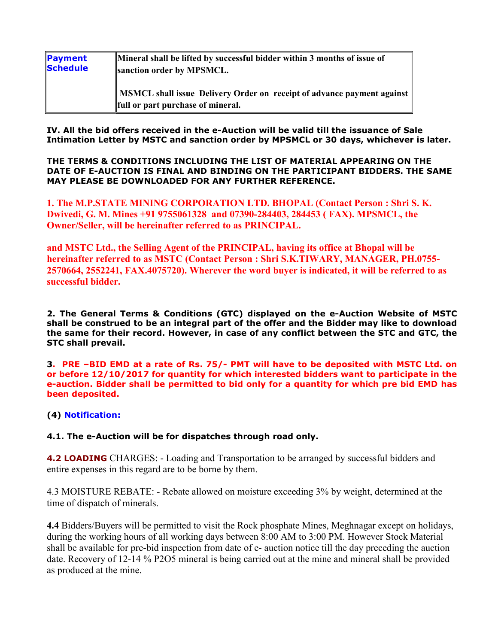| Payment  | Mineral shall be lifted by successful bidder within 3 months of issue of                                       |
|----------|----------------------------------------------------------------------------------------------------------------|
| Schedule | sanction order by MPSMCL.                                                                                      |
|          | MSMCL shall issue Delivery Order on receipt of advance payment against   <br>full or part purchase of mineral. |

IV. All the bid offers received in the e-Auction will be valid till the issuance of Sale Intimation Letter by MSTC and sanction order by MPSMCL or 30 days, whichever is later.

THE TERMS & CONDITIONS INCLUDING THE LIST OF MATERIAL APPEARING ON THE DATE OF E-AUCTION IS FINAL AND BINDING ON THE PARTICIPANT BIDDERS. THE SAME MAY PLEASE BE DOWNLOADED FOR ANY FURTHER REFERENCE.

1. The M.P.STATE MINING CORPORATION LTD. BHOPAL (Contact Person : Shri S. K. Dwivedi, G. M. Mines +91 9755061328 and 07390-284403, 284453 ( FAX). MPSMCL, the Owner/Seller, will be hereinafter referred to as PRINCIPAL.

and MSTC Ltd., the Selling Agent of the PRINCIPAL, having its office at Bhopal will be hereinafter referred to as MSTC (Contact Person : Shri S.K.TIWARY, MANAGER, PH.0755- 2570664, 2552241, FAX.4075720). Wherever the word buyer is indicated, it will be referred to as successful bidder.

2. The General Terms & Conditions (GTC) displayed on the e-Auction Website of MSTC shall be construed to be an integral part of the offer and the Bidder may like to download the same for their record. However, in case of any conflict between the STC and GTC, the STC shall prevail.

3. PRE –BID EMD at a rate of Rs. 75/- PMT will have to be deposited with MSTC Ltd. on or before 12/10/2017 for quantity for which interested bidders want to participate in the e-auction. Bidder shall be permitted to bid only for a quantity for which pre bid EMD has been deposited.

# (4) Notification:

## 4.1. The e-Auction will be for dispatches through road only.

4.2 LOADING CHARGES: - Loading and Transportation to be arranged by successful bidders and entire expenses in this regard are to be borne by them.

4.3 MOISTURE REBATE: - Rebate allowed on moisture exceeding 3% by weight, determined at the time of dispatch of minerals.

4.4 Bidders/Buyers will be permitted to visit the Rock phosphate Mines, Meghnagar except on holidays, during the working hours of all working days between 8:00 AM to 3:00 PM. However Stock Material shall be available for pre-bid inspection from date of e- auction notice till the day preceding the auction date. Recovery of 12-14 % P2O5 mineral is being carried out at the mine and mineral shall be provided as produced at the mine.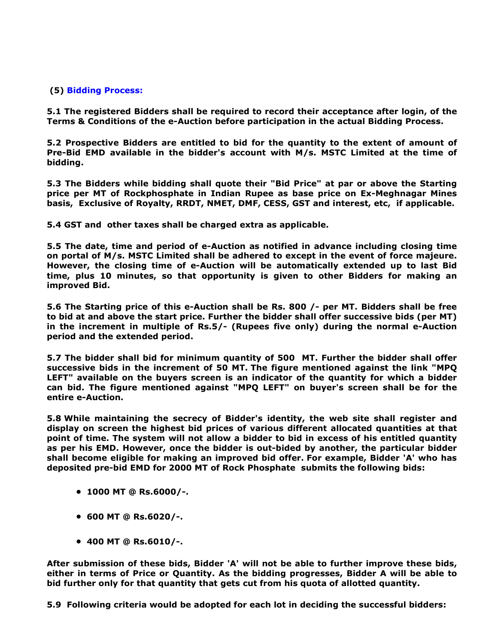# (5) Bidding Process:

5.1 The registered Bidders shall be required to record their acceptance after login, of the Terms & Conditions of the e-Auction before participation in the actual Bidding Process.

5.2 Prospective Bidders are entitled to bid for the quantity to the extent of amount of Pre-Bid EMD available in the bidder's account with M/s. MSTC Limited at the time of bidding.

5.3 The Bidders while bidding shall quote their "Bid Price" at par or above the Starting price per MT of Rockphosphate in Indian Rupee as base price on Ex-Meghnagar Mines basis, Exclusive of Royalty, RRDT, NMET, DMF, CESS, GST and interest, etc, if applicable.

5.4 GST and other taxes shall be charged extra as applicable.

5.5 The date, time and period of e-Auction as notified in advance including closing time on portal of M/s. MSTC Limited shall be adhered to except in the event of force majeure. However, the closing time of e-Auction will be automatically extended up to last Bid time, plus 10 minutes, so that opportunity is given to other Bidders for making an improved Bid.

5.6 The Starting price of this e-Auction shall be Rs. 800 /- per MT. Bidders shall be free to bid at and above the start price. Further the bidder shall offer successive bids (per MT) in the increment in multiple of Rs.5/- (Rupees five only) during the normal e-Auction period and the extended period.

5.7 The bidder shall bid for minimum quantity of 500 MT. Further the bidder shall offer successive bids in the increment of 50 MT. The figure mentioned against the link "MPQ LEFT" available on the buyers screen is an indicator of the quantity for which a bidder can bid. The figure mentioned against "MPQ LEFT" on buyer's screen shall be for the entire e-Auction.

5.8 While maintaining the secrecy of Bidder's identity, the web site shall register and display on screen the highest bid prices of various different allocated quantities at that point of time. The system will not allow a bidder to bid in excess of his entitled quantity as per his EMD. However, once the bidder is out-bided by another, the particular bidder shall become eligible for making an improved bid offer. For example, Bidder 'A' who has deposited pre-bid EMD for 2000 MT of Rock Phosphate submits the following bids:

- 1000 MT @ Rs.6000/-.
- 600 MT @ Rs.6020/-.
- 400 MT @ Rs.6010/-.

After submission of these bids, Bidder 'A' will not be able to further improve these bids, either in terms of Price or Quantity. As the bidding progresses, Bidder A will be able to bid further only for that quantity that gets cut from his quota of allotted quantity.

5.9 Following criteria would be adopted for each lot in deciding the successful bidders: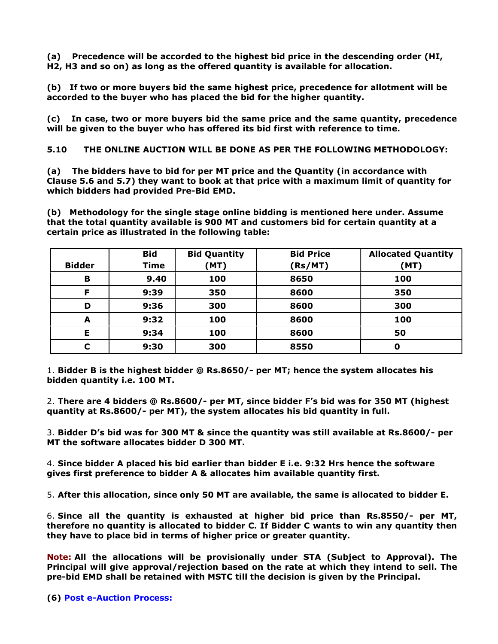(a) Precedence will be accorded to the highest bid price in the descending order (HI, H2, H3 and so on) as long as the offered quantity is available for allocation.

(b) If two or more buyers bid the same highest price, precedence for allotment will be accorded to the buyer who has placed the bid for the higher quantity.

(c) In case, two or more buyers bid the same price and the same quantity, precedence will be given to the buyer who has offered its bid first with reference to time.

5.10 THE ONLINE AUCTION WILL BE DONE AS PER THE FOLLOWING METHODOLOGY:

(a) The bidders have to bid for per MT price and the Quantity (in accordance with Clause 5.6 and 5.7) they want to book at that price with a maximum limit of quantity for which bidders had provided Pre-Bid EMD.

(b) Methodology for the single stage online bidding is mentioned here under. Assume that the total quantity available is 900 MT and customers bid for certain quantity at a certain price as illustrated in the following table:

| <b>Bidder</b> | <b>Bid</b><br><b>Time</b> | <b>Bid Quantity</b><br>(MT) | <b>Bid Price</b><br>(Rs/MT) | <b>Allocated Quantity</b><br>(MT) |
|---------------|---------------------------|-----------------------------|-----------------------------|-----------------------------------|
| B             | 9.40                      | 100                         | 8650                        | 100                               |
| F             | 9:39                      | 350                         | 8600                        | 350                               |
| D             | 9:36                      | 300                         | 8600                        | 300                               |
| A             | 9:32                      | 100                         | 8600                        | 100                               |
| Е             | 9:34                      | 100                         | 8600                        | 50                                |
|               | 9:30                      | 300                         | 8550                        | 0                                 |

1. Bidder B is the highest bidder @ Rs.8650/- per MT; hence the system allocates his bidden quantity i.e. 100 MT.

2. There are 4 bidders @ Rs.8600/- per MT, since bidder F's bid was for 350 MT (highest quantity at Rs.8600/- per MT), the system allocates his bid quantity in full.

3. Bidder D's bid was for 300 MT & since the quantity was still available at Rs.8600/- per MT the software allocates bidder D 300 MT.

4. Since bidder A placed his bid earlier than bidder E i.e. 9:32 Hrs hence the software gives first preference to bidder A & allocates him available quantity first.

5. After this allocation, since only 50 MT are available, the same is allocated to bidder E.

6. Since all the quantity is exhausted at higher bid price than Rs.8550/- per MT, therefore no quantity is allocated to bidder C. If Bidder C wants to win any quantity then they have to place bid in terms of higher price or greater quantity.

Note: All the allocations will be provisionally under STA (Subject to Approval). The Principal will give approval/rejection based on the rate at which they intend to sell. The pre-bid EMD shall be retained with MSTC till the decision is given by the Principal.

(6) Post e-Auction Process: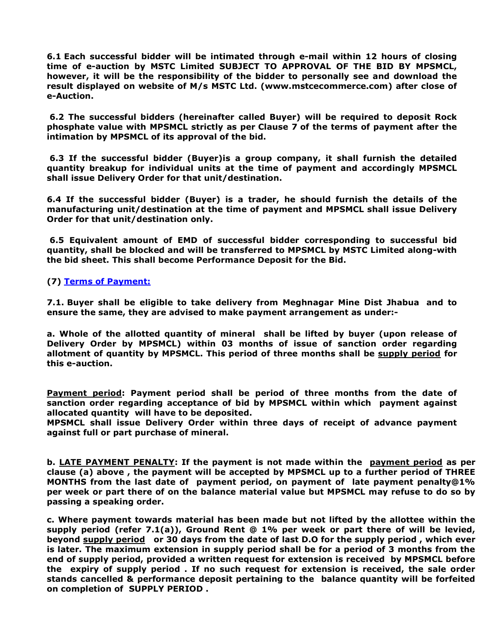6.1 Each successful bidder will be intimated through e-mail within 12 hours of closing time of e-auction by MSTC Limited SUBJECT TO APPROVAL OF THE BID BY MPSMCL, however, it will be the responsibility of the bidder to personally see and download the result displayed on website of M/s MSTC Ltd. (www.mstcecommerce.com) after close of e-Auction.

6.2 The successful bidders (hereinafter called Buyer) will be required to deposit Rock phosphate value with MPSMCL strictly as per Clause 7 of the terms of payment after the intimation by MPSMCL of its approval of the bid.

6.3 If the successful bidder (Buyer)is a group company, it shall furnish the detailed quantity breakup for individual units at the time of payment and accordingly MPSMCL shall issue Delivery Order for that unit/destination.

6.4 If the successful bidder (Buyer) is a trader, he should furnish the details of the manufacturing unit/destination at the time of payment and MPSMCL shall issue Delivery Order for that unit/destination only.

6.5 Equivalent amount of EMD of successful bidder corresponding to successful bid quantity, shall be blocked and will be transferred to MPSMCL by MSTC Limited along-with the bid sheet. This shall become Performance Deposit for the Bid.

(7) Terms of Payment:

7.1. Buyer shall be eligible to take delivery from Meghnagar Mine Dist Jhabua and to ensure the same, they are advised to make payment arrangement as under:-

a. Whole of the allotted quantity of mineral shall be lifted by buyer (upon release of Delivery Order by MPSMCL) within 03 months of issue of sanction order regarding allotment of quantity by MPSMCL. This period of three months shall be supply period for this e-auction.

Payment period: Payment period shall be period of three months from the date of sanction order regarding acceptance of bid by MPSMCL within which payment against allocated quantity will have to be deposited.

MPSMCL shall issue Delivery Order within three days of receipt of advance payment against full or part purchase of mineral.

b. LATE PAYMENT PENALTY: If the payment is not made within the payment period as per clause (a) above , the payment will be accepted by MPSMCL up to a further period of THREE MONTHS from the last date of payment period, on payment of late payment penalty@1% per week or part there of on the balance material value but MPSMCL may refuse to do so by passing a speaking order.

c. Where payment towards material has been made but not lifted by the allottee within the supply period (refer 7.1(a)), Ground Rent  $@1\%$  per week or part there of will be levied, beyond supply period or 30 days from the date of last D.O for the supply period, which ever is later. The maximum extension in supply period shall be for a period of 3 months from the end of supply period, provided a written request for extension is received by MPSMCL before the expiry of supply period . If no such request for extension is received, the sale order stands cancelled & performance deposit pertaining to the balance quantity will be forfeited on completion of SUPPLY PERIOD .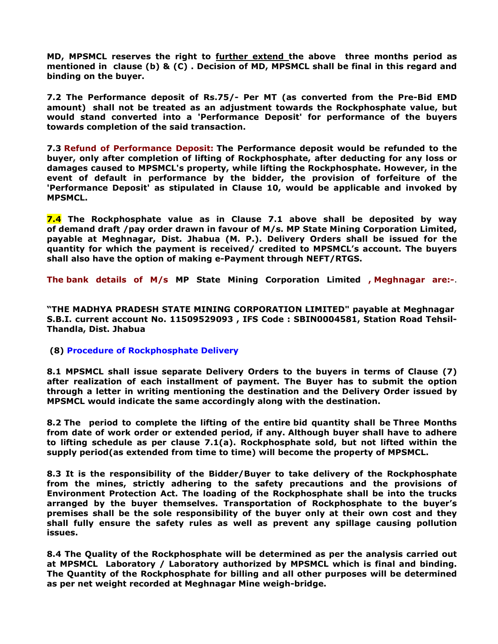MD, MPSMCL reserves the right to further extend the above three months period as mentioned in clause (b) & (C) . Decision of MD, MPSMCL shall be final in this regard and binding on the buyer.

7.2 The Performance deposit of Rs.75/- Per MT (as converted from the Pre-Bid EMD amount) shall not be treated as an adjustment towards the Rockphosphate value, but would stand converted into a 'Performance Deposit' for performance of the buyers towards completion of the said transaction.

7.3 Refund of Performance Deposit: The Performance deposit would be refunded to the buyer, only after completion of lifting of Rockphosphate, after deducting for any loss or damages caused to MPSMCL's property, while lifting the Rockphosphate. However, in the event of default in performance by the bidder, the provision of forfeiture of the 'Performance Deposit' as stipulated in Clause 10, would be applicable and invoked by MPSMCL.

**7.4** The Rockphosphate value as in Clause 7.1 above shall be deposited by way of demand draft /pay order drawn in favour of M/s. MP State Mining Corporation Limited, payable at Meghnagar, Dist. Jhabua (M. P.). Delivery Orders shall be issued for the quantity for which the payment is received/ credited to MPSMCL's account. The buyers shall also have the option of making e-Payment through NEFT/RTGS.

The bank details of M/s MP State Mining Corporation Limited , Meghnagar are:-.

"THE MADHYA PRADESH STATE MINING CORPORATION LIMITED" payable at Meghnagar S.B.I. current account No. 11509529093 , IFS Code : SBIN0004581, Station Road Tehsil-Thandla, Dist. Jhabua

(8) Procedure of Rockphosphate Delivery

8.1 MPSMCL shall issue separate Delivery Orders to the buyers in terms of Clause (7) after realization of each installment of payment. The Buyer has to submit the option through a letter in writing mentioning the destination and the Delivery Order issued by MPSMCL would indicate the same accordingly along with the destination.

8.2 The period to complete the lifting of the entire bid quantity shall be Three Months from date of work order or extended period, if any. Although buyer shall have to adhere to lifting schedule as per clause 7.1(a). Rockphosphate sold, but not lifted within the supply period(as extended from time to time) will become the property of MPSMCL.

8.3 It is the responsibility of the Bidder/Buyer to take delivery of the Rockphosphate from the mines, strictly adhering to the safety precautions and the provisions of Environment Protection Act. The loading of the Rockphosphate shall be into the trucks arranged by the buyer themselves. Transportation of Rockphosphate to the buyer's premises shall be the sole responsibility of the buyer only at their own cost and they shall fully ensure the safety rules as well as prevent any spillage causing pollution issues.

8.4 The Quality of the Rockphosphate will be determined as per the analysis carried out at MPSMCL Laboratory / Laboratory authorized by MPSMCL which is final and binding. The Quantity of the Rockphosphate for billing and all other purposes will be determined as per net weight recorded at Meghnagar Mine weigh-bridge.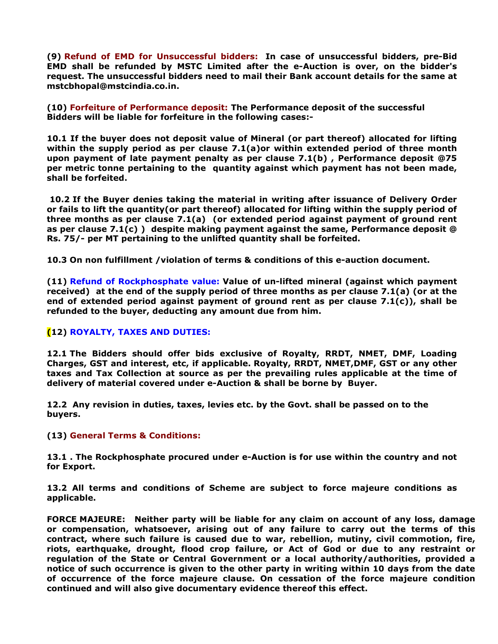(9) Refund of EMD for Unsuccessful bidders: In case of unsuccessful bidders, pre-Bid EMD shall be refunded by MSTC Limited after the e-Auction is over, on the bidder's request. The unsuccessful bidders need to mail their Bank account details for the same at mstcbhopal@mstcindia.co.in.

(10) Forfeiture of Performance deposit: The Performance deposit of the successful Bidders will be liable for forfeiture in the following cases:-

10.1 If the buyer does not deposit value of Mineral (or part thereof) allocated for lifting within the supply period as per clause 7.1(a)or within extended period of three month upon payment of late payment penalty as per clause 7.1(b) , Performance deposit @75 per metric tonne pertaining to the quantity against which payment has not been made, shall be forfeited.

 10.2 If the Buyer denies taking the material in writing after issuance of Delivery Order or fails to lift the quantity(or part thereof) allocated for lifting within the supply period of three months as per clause 7.1(a) (or extended period against payment of ground rent as per clause  $7.1(c)$ ) despite making payment against the same, Performance deposit  $@$ Rs. 75/- per MT pertaining to the unlifted quantity shall be forfeited.

10.3 On non fulfillment /violation of terms & conditions of this e-auction document.

(11) Refund of Rockphosphate value: Value of un-lifted mineral (against which payment received) at the end of the supply period of three months as per clause 7.1(a) (or at the end of extended period against payment of ground rent as per clause  $7.1(c)$ , shall be refunded to the buyer, deducting any amount due from him.

## (12) ROYALTY, TAXES AND DUTIES:

12.1 The Bidders should offer bids exclusive of Royalty, RRDT, NMET, DMF, Loading Charges, GST and interest, etc, if applicable. Royalty, RRDT, NMET,DMF, GST or any other taxes and Tax Collection at source as per the prevailing rules applicable at the time of delivery of material covered under e-Auction & shall be borne by Buyer.

12.2 Any revision in duties, taxes, levies etc. by the Govt. shall be passed on to the buyers.

(13) General Terms & Conditions:

13.1 . The Rockphosphate procured under e-Auction is for use within the country and not for Export.

13.2 All terms and conditions of Scheme are subject to force majeure conditions as applicable.

FORCE MAJEURE: Neither party will be liable for any claim on account of any loss, damage or compensation, whatsoever, arising out of any failure to carry out the terms of this contract, where such failure is caused due to war, rebellion, mutiny, civil commotion, fire, riots, earthquake, drought, flood crop failure, or Act of God or due to any restraint or regulation of the State or Central Government or a local authority/authorities, provided a notice of such occurrence is given to the other party in writing within 10 days from the date of occurrence of the force majeure clause. On cessation of the force majeure condition continued and will also give documentary evidence thereof this effect.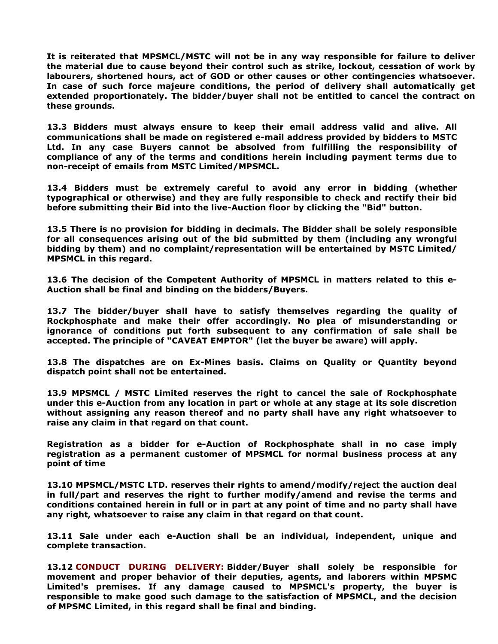It is reiterated that MPSMCL/MSTC will not be in any way responsible for failure to deliver the material due to cause beyond their control such as strike, lockout, cessation of work by labourers, shortened hours, act of GOD or other causes or other contingencies whatsoever. In case of such force majeure conditions, the period of delivery shall automatically get extended proportionately. The bidder/buyer shall not be entitled to cancel the contract on these grounds.

13.3 Bidders must always ensure to keep their email address valid and alive. All communications shall be made on registered e-mail address provided by bidders to MSTC Ltd. In any case Buyers cannot be absolved from fulfilling the responsibility of compliance of any of the terms and conditions herein including payment terms due to non-receipt of emails from MSTC Limited/MPSMCL.

13.4 Bidders must be extremely careful to avoid any error in bidding (whether typographical or otherwise) and they are fully responsible to check and rectify their bid before submitting their Bid into the live-Auction floor by clicking the "Bid" button.

13.5 There is no provision for bidding in decimals. The Bidder shall be solely responsible for all consequences arising out of the bid submitted by them (including any wrongful bidding by them) and no complaint/representation will be entertained by MSTC Limited/ MPSMCL in this regard.

13.6 The decision of the Competent Authority of MPSMCL in matters related to this e-Auction shall be final and binding on the bidders/Buyers.

13.7 The bidder/buyer shall have to satisfy themselves regarding the quality of Rockphosphate and make their offer accordingly. No plea of misunderstanding or ignorance of conditions put forth subsequent to any confirmation of sale shall be accepted. The principle of "CAVEAT EMPTOR" (let the buyer be aware) will apply.

13.8 The dispatches are on Ex-Mines basis. Claims on Quality or Quantity beyond dispatch point shall not be entertained.

13.9 MPSMCL / MSTC Limited reserves the right to cancel the sale of Rockphosphate under this e-Auction from any location in part or whole at any stage at its sole discretion without assigning any reason thereof and no party shall have any right whatsoever to raise any claim in that regard on that count.

Registration as a bidder for e-Auction of Rockphosphate shall in no case imply registration as a permanent customer of MPSMCL for normal business process at any point of time

13.10 MPSMCL/MSTC LTD. reserves their rights to amend/modify/reject the auction deal in full/part and reserves the right to further modify/amend and revise the terms and conditions contained herein in full or in part at any point of time and no party shall have any right, whatsoever to raise any claim in that regard on that count.

13.11 Sale under each e-Auction shall be an individual, independent, unique and complete transaction.

13.12 CONDUCT DURING DELIVERY: Bidder/Buyer shall solely be responsible for movement and proper behavior of their deputies, agents, and laborers within MPSMC Limited's premises. If any damage caused to MPSMCL's property, the buyer is responsible to make good such damage to the satisfaction of MPSMCL, and the decision of MPSMC Limited, in this regard shall be final and binding.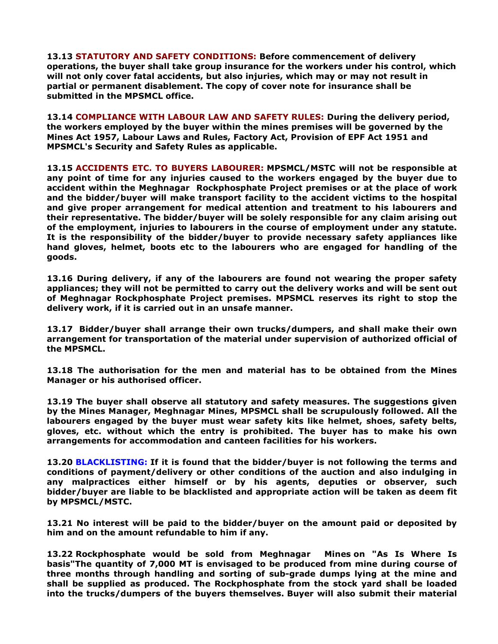13.13 STATUTORY AND SAFETY CONDITIONS: Before commencement of delivery operations, the buyer shall take group insurance for the workers under his control, which will not only cover fatal accidents, but also injuries, which may or may not result in partial or permanent disablement. The copy of cover note for insurance shall be submitted in the MPSMCL office.

13.14 COMPLIANCE WITH LABOUR LAW AND SAFETY RULES: During the delivery period, the workers employed by the buyer within the mines premises will be governed by the Mines Act 1957, Labour Laws and Rules, Factory Act, Provision of EPF Act 1951 and MPSMCL's Security and Safety Rules as applicable.

13.15 ACCIDENTS ETC. TO BUYERS LABOURER: MPSMCL/MSTC will not be responsible at any point of time for any injuries caused to the workers engaged by the buyer due to accident within the Meghnagar Rockphosphate Project premises or at the place of work and the bidder/buyer will make transport facility to the accident victims to the hospital and give proper arrangement for medical attention and treatment to his labourers and their representative. The bidder/buyer will be solely responsible for any claim arising out of the employment, injuries to labourers in the course of employment under any statute. It is the responsibility of the bidder/buyer to provide necessary safety appliances like hand gloves, helmet, boots etc to the labourers who are engaged for handling of the goods.

13.16 During delivery, if any of the labourers are found not wearing the proper safety appliances; they will not be permitted to carry out the delivery works and will be sent out of Meghnagar Rockphosphate Project premises. MPSMCL reserves its right to stop the delivery work, if it is carried out in an unsafe manner.

13.17 Bidder/buyer shall arrange their own trucks/dumpers, and shall make their own arrangement for transportation of the material under supervision of authorized official of the MPSMCL.

13.18 The authorisation for the men and material has to be obtained from the Mines Manager or his authorised officer.

13.19 The buyer shall observe all statutory and safety measures. The suggestions given by the Mines Manager, Meghnagar Mines, MPSMCL shall be scrupulously followed. All the labourers engaged by the buyer must wear safety kits like helmet, shoes, safety belts, gloves, etc. without which the entry is prohibited. The buyer has to make his own arrangements for accommodation and canteen facilities for his workers.

13.20 BLACKLISTING: If it is found that the bidder/buyer is not following the terms and conditions of payment/delivery or other conditions of the auction and also indulging in any malpractices either himself or by his agents, deputies or observer, such bidder/buyer are liable to be blacklisted and appropriate action will be taken as deem fit by MPSMCL/MSTC.

13.21 No interest will be paid to the bidder/buyer on the amount paid or deposited by him and on the amount refundable to him if any.

13.22 Rockphosphate would be sold from Meghnagar Mines on "As Is Where Is basis"The quantity of 7,000 MT is envisaged to be produced from mine during course of three months through handling and sorting of sub-grade dumps lying at the mine and shall be supplied as produced. The Rockphosphate from the stock yard shall be loaded into the trucks/dumpers of the buyers themselves. Buyer will also submit their material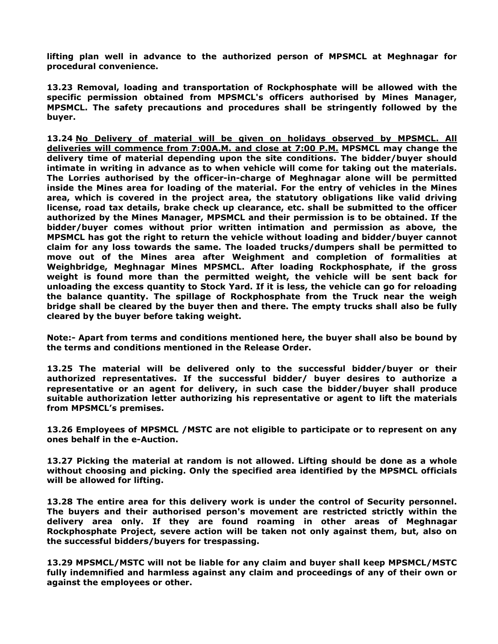lifting plan well in advance to the authorized person of MPSMCL at Meghnagar for procedural convenience.

13.23 Removal, loading and transportation of Rockphosphate will be allowed with the specific permission obtained from MPSMCL's officers authorised by Mines Manager, MPSMCL. The safety precautions and procedures shall be stringently followed by the buyer.

13.24 No Delivery of material will be given on holidays observed by MPSMCL. All deliveries will commence from 7:00A.M. and close at 7:00 P.M. MPSMCL may change the delivery time of material depending upon the site conditions. The bidder/buyer should intimate in writing in advance as to when vehicle will come for taking out the materials. The Lorries authorised by the officer-in-charge of Meghnagar alone will be permitted inside the Mines area for loading of the material. For the entry of vehicles in the Mines area, which is covered in the project area, the statutory obligations like valid driving license, road tax details, brake check up clearance, etc. shall be submitted to the officer authorized by the Mines Manager, MPSMCL and their permission is to be obtained. If the bidder/buyer comes without prior written intimation and permission as above, the MPSMCL has got the right to return the vehicle without loading and bidder/buyer cannot claim for any loss towards the same. The loaded trucks/dumpers shall be permitted to move out of the Mines area after Weighment and completion of formalities at Weighbridge, Meghnagar Mines MPSMCL. After loading Rockphosphate, if the gross weight is found more than the permitted weight, the vehicle will be sent back for unloading the excess quantity to Stock Yard. If it is less, the vehicle can go for reloading the balance quantity. The spillage of Rockphosphate from the Truck near the weigh bridge shall be cleared by the buyer then and there. The empty trucks shall also be fully cleared by the buyer before taking weight.

Note:- Apart from terms and conditions mentioned here, the buyer shall also be bound by the terms and conditions mentioned in the Release Order.

13.25 The material will be delivered only to the successful bidder/buyer or their authorized representatives. If the successful bidder/ buyer desires to authorize a representative or an agent for delivery, in such case the bidder/buyer shall produce suitable authorization letter authorizing his representative or agent to lift the materials from MPSMCL's premises.

13.26 Employees of MPSMCL /MSTC are not eligible to participate or to represent on any ones behalf in the e-Auction.

13.27 Picking the material at random is not allowed. Lifting should be done as a whole without choosing and picking. Only the specified area identified by the MPSMCL officials will be allowed for lifting.

13.28 The entire area for this delivery work is under the control of Security personnel. The buyers and their authorised person's movement are restricted strictly within the delivery area only. If they are found roaming in other areas of Meghnagar Rockphosphate Project, severe action will be taken not only against them, but, also on the successful bidders/buyers for trespassing.

13.29 MPSMCL/MSTC will not be liable for any claim and buyer shall keep MPSMCL/MSTC fully indemnified and harmless against any claim and proceedings of any of their own or against the employees or other.